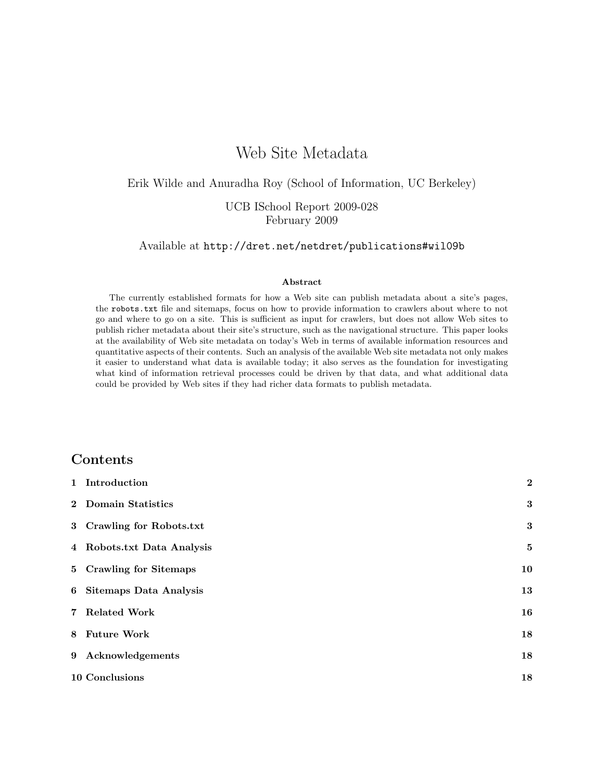# Web Site Metadata

#### Erik Wilde and Anuradha Roy [\(School of Information, UC Berkeley\)](http://www.ischool.berkeley.edu/)

UCB ISchool Report 2009-028 February 2009

Available at <http://dret.net/netdret/publications#wil09b>

#### Abstract

The currently established formats for how a Web site can publish metadata about a site's pages, the robots.txt file and sitemaps, focus on how to provide information to crawlers about where to not go and where to go on a site. This is sufficient as input for crawlers, but does not allow Web sites to publish richer metadata about their site's structure, such as the navigational structure. This paper looks at the availability of Web site metadata on today's Web in terms of available information resources and quantitative aspects of their contents. Such an analysis of the available Web site metadata not only makes it easier to understand what data is available today; it also serves as the foundation for investigating what kind of information retrieval processes could be driven by that data, and what additional data could be provided by Web sites if they had richer data formats to publish metadata.

#### Contents

| 1 Introduction             | $\overline{2}$ |
|----------------------------|----------------|
| 2 Domain Statistics        | 3              |
| 3 Crawling for Robots.txt  | 3              |
| 4 Robots.txt Data Analysis | 5              |
| 5 Crawling for Sitemaps    | 10             |
| 6 Sitemaps Data Analysis   | 13             |
| 7 Related Work             | 16             |
| 8 Future Work              | 18             |
| 9 Acknowledgements         | 18             |
| 10 Conclusions             | 18             |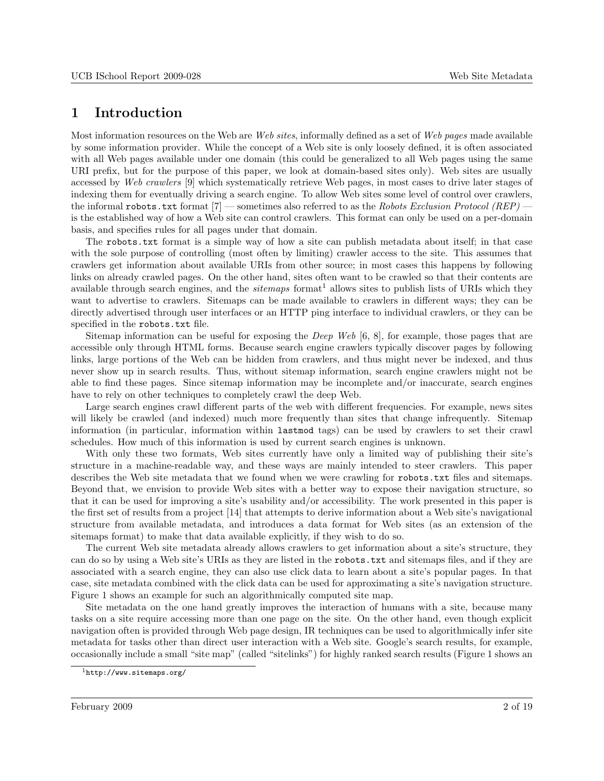#### <span id="page-1-0"></span>1 Introduction

Most information resources on the Web are Web sites, informally defined as a set of Web pages made available by some information provider. While the concept of a Web site is only loosely defined, it is often associated with all Web pages available under one domain (this could be generalized to all Web pages using the same URI prefix, but for the purpose of this paper, we look at domain-based sites only). Web sites are usually accessed by Web crawlers [\[9\]](#page-18-0) which systematically retrieve Web pages, in most cases to drive later stages of indexing them for eventually driving a search engine. To allow Web sites some level of control over crawlers, the informal robots.txt format  $[7]$  — sometimes also referred to as the Robots Exclusion Protocol (REP) – is the established way of how a Web site can control crawlers. This format can only be used on a per-domain basis, and specifies rules for all pages under that domain.

The robots.txt format is a simple way of how a site can publish metadata about itself; in that case with the sole purpose of controlling (most often by limiting) crawler access to the site. This assumes that crawlers get information about available URIs from other source; in most cases this happens by following links on already crawled pages. On the other hand, sites often want to be crawled so that their contents are available through search engines, and the *sitemaps* format<sup>1</sup> allows sites to publish lists of URIs which they want to advertise to crawlers. Sitemaps can be made available to crawlers in different ways; they can be directly advertised through user interfaces or an HTTP ping interface to individual crawlers, or they can be specified in the robots.txt file.

Sitemap information can be useful for exposing the Deep Web [\[6,](#page-18-0) [8\]](#page-18-0), for example, those pages that are accessible only through HTML forms. Because search engine crawlers typically discover pages by following links, large portions of the Web can be hidden from crawlers, and thus might never be indexed, and thus never show up in search results. Thus, without sitemap information, search engine crawlers might not be able to find these pages. Since sitemap information may be incomplete and/or inaccurate, search engines have to rely on other techniques to completely crawl the deep Web.

Large search engines crawl different parts of the web with different frequencies. For example, news sites will likely be crawled (and indexed) much more frequently than sites that change infrequently. Sitemap information (in particular, information within lastmod tags) can be used by crawlers to set their crawl schedules. How much of this information is used by current search engines is unknown.

With only these two formats, Web sites currently have only a limited way of publishing their site's structure in a machine-readable way, and these ways are mainly intended to steer crawlers. This paper describes the Web site metadata that we found when we were crawling for robots.txt files and sitemaps. Beyond that, we envision to provide Web sites with a better way to expose their navigation structure, so that it can be used for improving a site's usability and/or accessibility. The work presented in this paper is the first set of results from a project [\[14\]](#page-18-0) that attempts to derive information about a Web site's navigational structure from available metadata, and introduces a data format for Web sites (as an extension of the sitemaps format) to make that data available explicitly, if they wish to do so.

The current Web site metadata already allows crawlers to get information about a site's structure, they can do so by using a Web site's URIs as they are listed in the robots.txt and sitemaps files, and if they are associated with a search engine, they can also use click data to learn about a site's popular pages. In that case, site metadata combined with the click data can be used for approximating a site's navigation structure. Figure [1](#page-2-0) shows an example for such an algorithmically computed site map.

Site metadata on the one hand greatly improves the interaction of humans with a site, because many tasks on a site require accessing more than one page on the site. On the other hand, even though explicit navigation often is provided through Web page design, IR techniques can be used to algorithmically infer site metadata for tasks other than direct user interaction with a Web site. Google's search results, for example, occasionally include a small "site map" (called "sitelinks") for highly ranked search results (Figure [1](#page-2-0) shows an

<sup>1</sup><http://www.sitemaps.org/>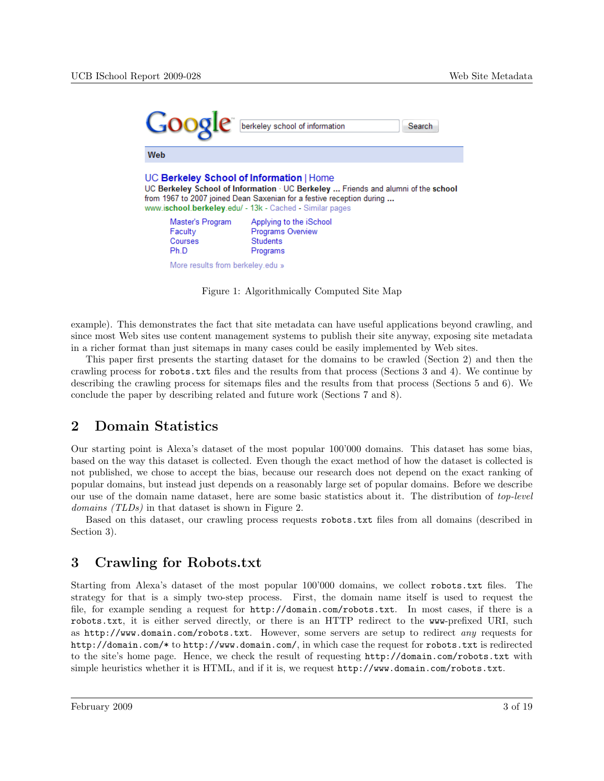<span id="page-2-0"></span>

|                                                                                                                                                                                                                                                                    | berkeley school of information                                              | Search |  |  |
|--------------------------------------------------------------------------------------------------------------------------------------------------------------------------------------------------------------------------------------------------------------------|-----------------------------------------------------------------------------|--------|--|--|
| Web                                                                                                                                                                                                                                                                |                                                                             |        |  |  |
| UC Berkeley School of Information   Home<br>UC Berkeley School of Information · UC Berkeley  Friends and alumni of the school<br>from 1967 to 2007 joined Dean Saxenian for a festive reception during<br>www.ischool.berkeley.edu/ - 13k - Cached - Similar pages |                                                                             |        |  |  |
| Master's Program<br>Faculty<br>Courses<br>Ph.D                                                                                                                                                                                                                     | Applying to the iSchool<br>Programs Overview<br><b>Students</b><br>Programs |        |  |  |
| More results from berkeley.edu »                                                                                                                                                                                                                                   |                                                                             |        |  |  |

Figure 1: Algorithmically Computed Site Map

example). This demonstrates the fact that site metadata can have useful applications beyond crawling, and since most Web sites use content management systems to publish their site anyway, exposing site metadata in a richer format than just sitemaps in many cases could be easily implemented by Web sites.

This paper first presents the starting dataset for the domains to be crawled (Section 2) and then the crawling process for robots.txt files and the results from that process (Sections 3 and [4\)](#page-4-0). We continue by describing the crawling process for sitemaps files and the results from that process (Sections [5](#page-9-0) and [6\)](#page-12-0). We conclude the paper by describing related and future work (Sections [7](#page-15-0) and [8\)](#page-17-0).

#### 2 Domain Statistics

Our starting point is Alexa's dataset of the most popular 100'000 domains. This dataset has some bias, based on the way this dataset is collected. Even though the exact method of how the dataset is collected is not published, we chose to accept the bias, because our research does not depend on the exact ranking of popular domains, but instead just depends on a reasonably large set of popular domains. Before we describe our use of the domain name dataset, here are some basic statistics about it. The distribution of top-level domains *(TLDs)* in that dataset is shown in Figure [2.](#page-3-0)

Based on this dataset, our crawling process requests robots.txt files from all domains (described in Section 3).

#### 3 Crawling for Robots.txt

Starting from Alexa's dataset of the most popular 100'000 domains, we collect robots.txt files. The strategy for that is a simply two-step process. First, the domain name itself is used to request the file, for example sending a request for http://domain.com/robots.txt. In most cases, if there is a robots.txt, it is either served directly, or there is an HTTP redirect to the www-prefixed URI, such as http://www.domain.com/robots.txt. However, some servers are setup to redirect any requests for http://domain.com/\* to http://www.domain.com/, in which case the request for robots.txt is redirected to the site's home page. Hence, we check the result of requesting http://domain.com/robots.txt with simple heuristics whether it is HTML, and if it is, we request http://www.domain.com/robots.txt.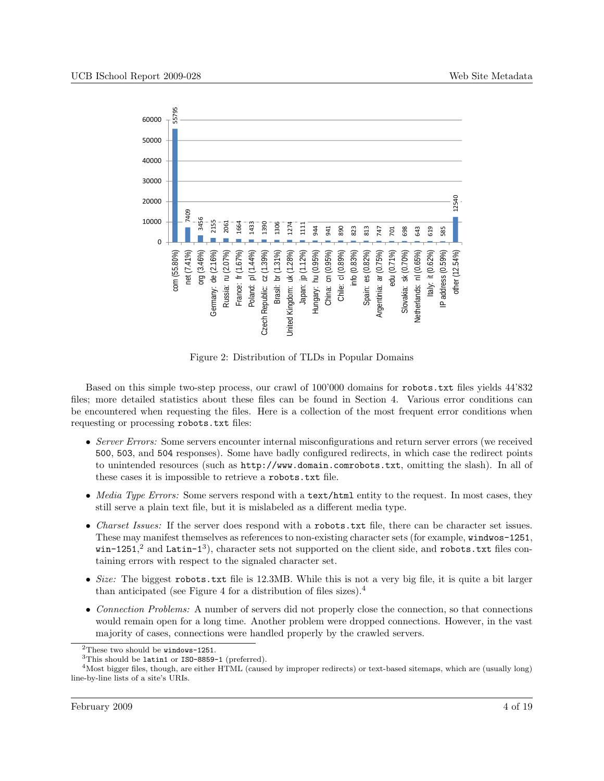<span id="page-3-0"></span>

Figure 2: Distribution of TLDs in Popular Domains

Based on this simple two-step process, our crawl of 100'000 domains for robots.txt files yields 44'832 files; more detailed statistics about these files can be found in Section [4.](#page-4-0) Various error conditions can be encountered when requesting the files. Here is a collection of the most frequent error conditions when requesting or processing robots.txt files:

- Server Errors: Some servers encounter internal misconfigurations and return server errors (we received 500, 503, and 504 responses). Some have badly configured redirects, in which case the redirect points to unintended resources (such as http://www.domain.comrobots.txt, omitting the slash). In all of these cases it is impossible to retrieve a robots.txt file.
- Media Type Errors: Some servers respond with a text/html entity to the request. In most cases, they still serve a plain text file, but it is mislabeled as a different media type.
- Charset Issues: If the server does respond with a robots.txt file, there can be character set issues. These may manifest themselves as references to non-existing character sets (for example, windwos-1251, win-1251,<sup>2</sup> and Latin-1<sup>3</sup>), character sets not supported on the client side, and robots.txt files containing errors with respect to the signaled character set.
- Size: The biggest robots.txt file is 12.3MB. While this is not a very big file, it is quite a bit larger than anticipated (see Figure [4](#page-5-0) for a distribution of files sizes).<sup>4</sup>
- Connection Problems: A number of servers did not properly close the connection, so that connections would remain open for a long time. Another problem were dropped connections. However, in the vast majority of cases, connections were handled properly by the crawled servers.

<sup>2</sup>These two should be windows-1251.

<sup>3</sup>This should be latin1 or ISO-8859-1 (preferred).

<sup>4</sup>Most bigger files, though, are either HTML (caused by improper redirects) or text-based sitemaps, which are (usually long) line-by-line lists of a site's URIs.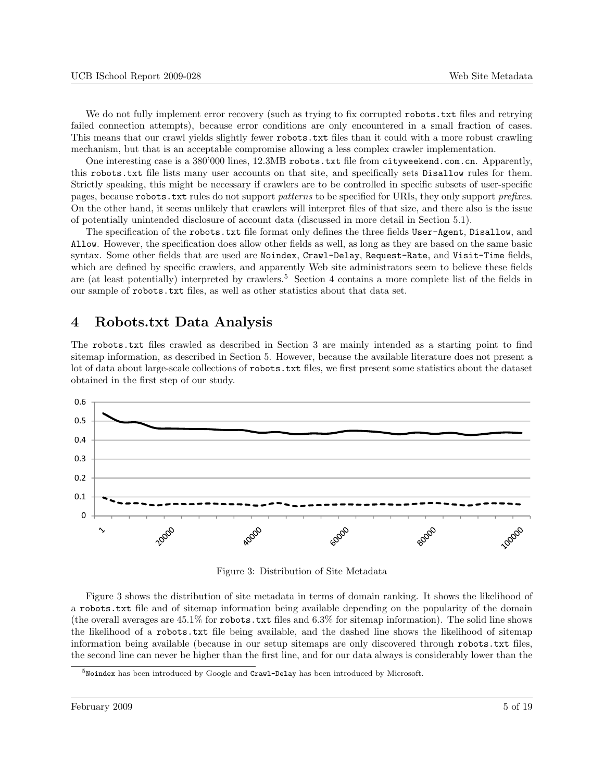<span id="page-4-0"></span>We do not fully implement error recovery (such as trying to fix corrupted robots.txt files and retrying failed connection attempts), because error conditions are only encountered in a small fraction of cases. This means that our crawl yields slightly fewer robots.txt files than it could with a more robust crawling mechanism, but that is an acceptable compromise allowing a less complex crawler implementation.

One interesting case is a 380'000 lines, 12.3MB robots.txt file from cityweekend.com.cn. Apparently, this robots.txt file lists many user accounts on that site, and specifically sets Disallow rules for them. Strictly speaking, this might be necessary if crawlers are to be controlled in specific subsets of user-specific pages, because robots.txt rules do not support patterns to be specified for URIs, they only support prefixes. On the other hand, it seems unlikely that crawlers will interpret files of that size, and there also is the issue of potentially unintended disclosure of account data (discussed in more detail in Section [5.1\)](#page-11-0).

The specification of the robots.txt file format only defines the three fields User-Agent, Disallow, and Allow. However, the specification does allow other fields as well, as long as they are based on the same basic syntax. Some other fields that are used are Noindex, Crawl-Delay, Request-Rate, and Visit-Time fields, which are defined by specific crawlers, and apparently Web site administrators seem to believe these fields are (at least potentially) interpreted by crawlers.<sup>5</sup> Section 4 contains a more complete list of the fields in our sample of robots.txt files, as well as other statistics about that data set.

#### 4 Robots.txt Data Analysis

The robots.txt files crawled as described in Section [3](#page-2-0) are mainly intended as a starting point to find sitemap information, as described in Section [5.](#page-9-0) However, because the available literature does not present a lot of data about large-scale collections of robots.txt files, we first present some statistics about the dataset obtained in the first step of our study.



Figure 3: Distribution of Site Metadata

Figure 3 shows the distribution of site metadata in terms of domain ranking. It shows the likelihood of a robots.txt file and of sitemap information being available depending on the popularity of the domain (the overall averages are 45.1% for robots.txt files and 6.3% for sitemap information). The solid line shows the likelihood of a robots.txt file being available, and the dashed line shows the likelihood of sitemap information being available (because in our setup sitemaps are only discovered through robots.txt files, the second line can never be higher than the first line, and for our data always is considerably lower than the

 $5$ Noindex has been introduced by Google and Crawl-Delay has been introduced by Microsoft.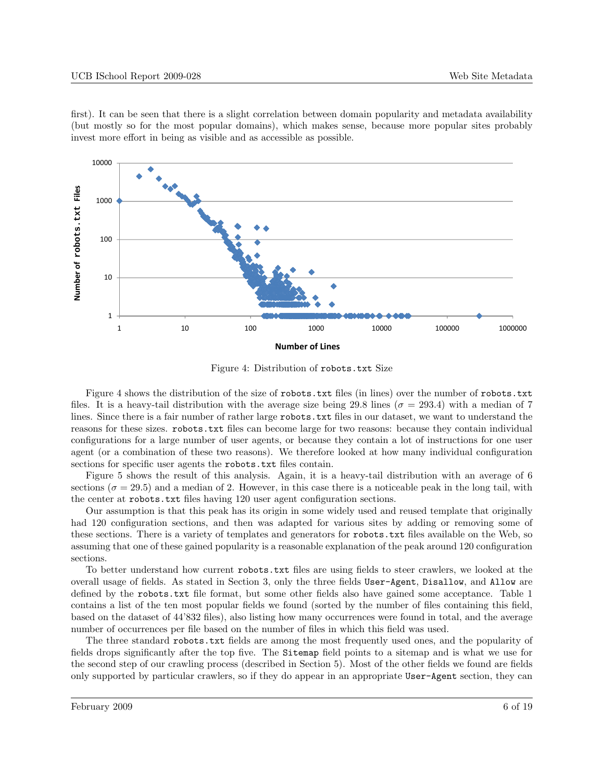<span id="page-5-0"></span>first). It can be seen that there is a slight correlation between domain popularity and metadata availability (but mostly so for the most popular domains), which makes sense, because more popular sites probably invest more effort in being as visible and as accessible as possible.



Figure 4: Distribution of robots.txt Size

Figure 4 shows the distribution of the size of robots.txt files (in lines) over the number of robots.txt files. It is a heavy-tail distribution with the average size being 29.8 lines ( $\sigma = 293.4$ ) with a median of 7 lines. Since there is a fair number of rather large robots.txt files in our dataset, we want to understand the reasons for these sizes. robots.txt files can become large for two reasons: because they contain individual configurations for a large number of user agents, or because they contain a lot of instructions for one user agent (or a combination of these two reasons). We therefore looked at how many individual configuration sections for specific user agents the robots.txt files contain.

Figure [5](#page-6-0) shows the result of this analysis. Again, it is a heavy-tail distribution with an average of 6 sections ( $\sigma = 29.5$ ) and a median of 2. However, in this case there is a noticeable peak in the long tail, with the center at robots.txt files having 120 user agent configuration sections.

Our assumption is that this peak has its origin in some widely used and reused template that originally had 120 configuration sections, and then was adapted for various sites by adding or removing some of these sections. There is a variety of templates and generators for robots.txt files available on the Web, so assuming that one of these gained popularity is a reasonable explanation of the peak around 120 configuration sections.

To better understand how current robots.txt files are using fields to steer crawlers, we looked at the overall usage of fields. As stated in Section [3,](#page-2-0) only the three fields User-Agent, Disallow, and Allow are defined by the robots.txt file format, but some other fields also have gained some acceptance. Table [1](#page-6-0) contains a list of the ten most popular fields we found (sorted by the number of files containing this field, based on the dataset of 44'832 files), also listing how many occurrences were found in total, and the average number of occurrences per file based on the number of files in which this field was used.

The three standard robots.txt fields are among the most frequently used ones, and the popularity of fields drops significantly after the top five. The Sitemap field points to a sitemap and is what we use for the second step of our crawling process (described in Section [5\)](#page-9-0). Most of the other fields we found are fields only supported by particular crawlers, so if they do appear in an appropriate User-Agent section, they can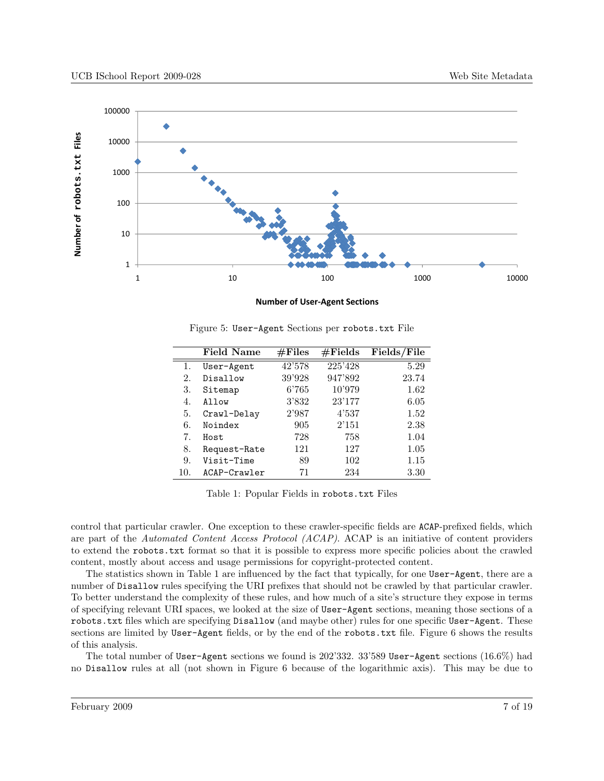<span id="page-6-0"></span>

**Number of User‐Agent Sections**

|     | <b>Field Name</b> | $\#\text{Files}$ | $\#\text{Fields}$ | Fields/File |
|-----|-------------------|------------------|-------------------|-------------|
| 1.  | User-Agent        | 42'578           | 225'428           | 5.29        |
| 2.  | Disallow          | 39'928           | 947'892           | 23.74       |
| 3.  | Sitemap           | 6'765            | 10'979            | 1.62        |
| 4.  | Allow             | 3'832            | 23'177            | 6.05        |
| 5.  | Crawl-Delay       | 2'987            | 4'537             | 1.52        |
| 6.  | Noindex           | 905              | 2'151             | 2.38        |
| 7.  | Host.             | 728              | 758               | 1.04        |
| 8.  | Request-Rate      | 121              | 127               | 1.05        |
| 9.  | Visit-Time        | 89               | 102               | 1.15        |
| 10. | ACAP-Crawler      | 71               | 234               | 3.30        |

Figure 5: User-Agent Sections per robots.txt File

Table 1: Popular Fields in robots.txt Files

control that particular crawler. One exception to these crawler-specific fields are ACAP-prefixed fields, which are part of the Automated Content Access Protocol (ACAP). ACAP is an initiative of content providers to extend the robots.txt format so that it is possible to express more specific policies about the crawled content, mostly about access and usage permissions for copyright-protected content.

The statistics shown in Table 1 are influenced by the fact that typically, for one User-Agent, there are a number of Disallow rules specifying the URI prefixes that should not be crawled by that particular crawler. To better understand the complexity of these rules, and how much of a site's structure they expose in terms of specifying relevant URI spaces, we looked at the size of User-Agent sections, meaning those sections of a robots.txt files which are specifying Disallow (and maybe other) rules for one specific User-Agent. These sections are limited by User-Agent fields, or by the end of the robots.txt file. Figure [6](#page-7-0) shows the results of this analysis.

The total number of User-Agent sections we found is 202'332. 33'589 User-Agent sections (16.6%) had no Disallow rules at all (not shown in Figure [6](#page-7-0) because of the logarithmic axis). This may be due to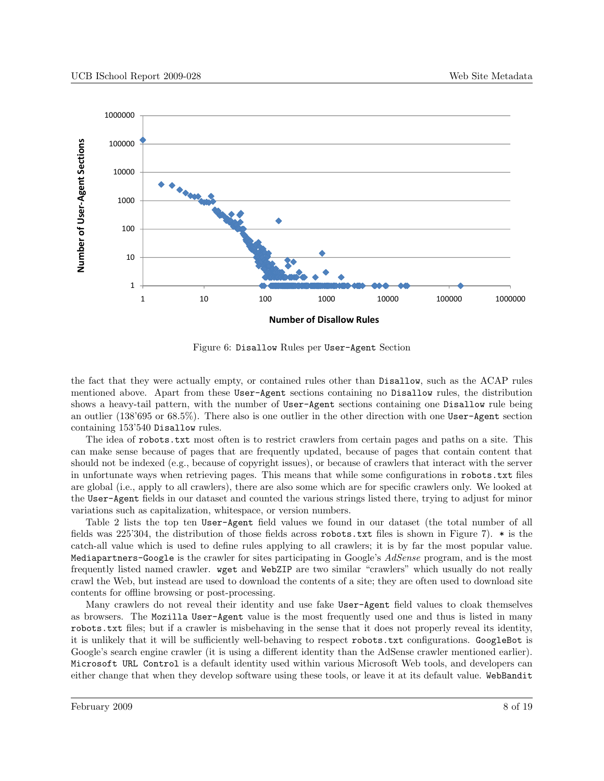<span id="page-7-0"></span>

Figure 6: Disallow Rules per User-Agent Section

the fact that they were actually empty, or contained rules other than Disallow, such as the ACAP rules mentioned above. Apart from these User-Agent sections containing no Disallow rules, the distribution shows a heavy-tail pattern, with the number of User-Agent sections containing one Disallow rule being an outlier (138'695 or 68.5%). There also is one outlier in the other direction with one User-Agent section containing 153'540 Disallow rules.

The idea of robots.txt most often is to restrict crawlers from certain pages and paths on a site. This can make sense because of pages that are frequently updated, because of pages that contain content that should not be indexed (e.g., because of copyright issues), or because of crawlers that interact with the server in unfortunate ways when retrieving pages. This means that while some configurations in robots.txt files are global (i.e., apply to all crawlers), there are also some which are for specific crawlers only. We looked at the User-Agent fields in our dataset and counted the various strings listed there, trying to adjust for minor variations such as capitalization, whitespace, or version numbers.

Table [2](#page-8-0) lists the top ten User-Agent field values we found in our dataset (the total number of all fields was 225'304, the distribution of those fields across robots.txt files is shown in Figure [7\)](#page-8-0). \* is the catch-all value which is used to define rules applying to all crawlers; it is by far the most popular value. Mediapartners-Google is the crawler for sites participating in Google's AdSense program, and is the most frequently listed named crawler. wget and WebZIP are two similar "crawlers" which usually do not really crawl the Web, but instead are used to download the contents of a site; they are often used to download site contents for offline browsing or post-processing.

Many crawlers do not reveal their identity and use fake User-Agent field values to cloak themselves as browsers. The Mozilla User-Agent value is the most frequently used one and thus is listed in many robots.txt files; but if a crawler is misbehaving in the sense that it does not properly reveal its identity, it is unlikely that it will be sufficiently well-behaving to respect robots.txt configurations. GoogleBot is Google's search engine crawler (it is using a different identity than the AdSense crawler mentioned earlier). Microsoft URL Control is a default identity used within various Microsoft Web tools, and developers can either change that when they develop software using these tools, or leave it at its default value. WebBandit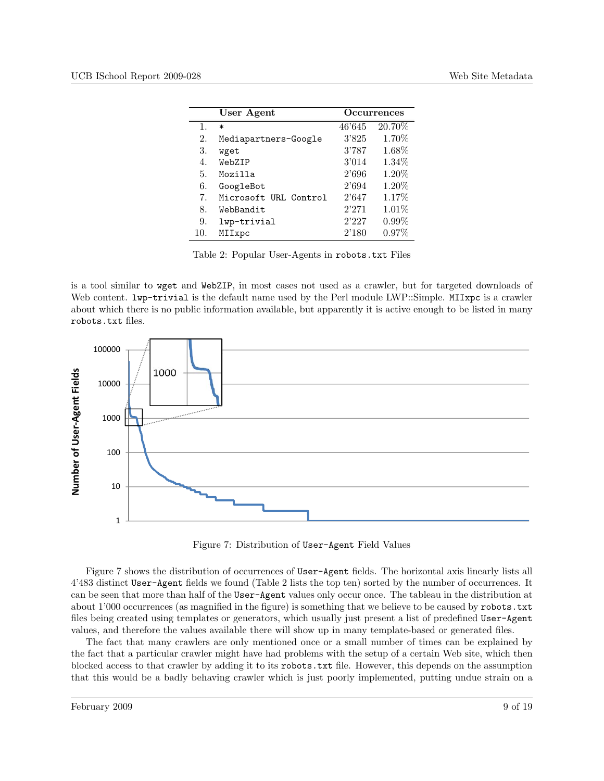<span id="page-8-0"></span>

|     | User Agent            |        | <b>Occurrences</b> |
|-----|-----------------------|--------|--------------------|
| 1.  | $\ast$                | 46'645 | 20.70%             |
| 2.  | Mediapartners-Google  | 3'825  | 1.70%              |
| 3.  | wget                  | 3'787  | 1.68%              |
| 4.  | WebZIP                | 3'014  | 1.34%              |
| 5.  | Mozilla               | 2'696  | 1.20%              |
| 6.  | GoogleBot             | 2'694  | 1.20%              |
| 7.  | Microsoft URL Control | 2'647  | 1.17%              |
| 8.  | WebBandit             | 2'271  | 1.01%              |
| 9.  | lwp-trivial           | 2'227  | $0.99\%$           |
| 10. | MIIxpc                | 2'180  | 0.97%              |

Table 2: Popular User-Agents in robots.txt Files

is a tool similar to wget and WebZIP, in most cases not used as a crawler, but for targeted downloads of Web content.  $l$ wp-trivial is the default name used by the Perl module LWP::Simple. MIIxpc is a crawler about which there is no public information available, but apparently it is active enough to be listed in many robots.txt files.



Figure 7: Distribution of User-Agent Field Values

Figure 7 shows the distribution of occurrences of User-Agent fields. The horizontal axis linearly lists all 4'483 distinct User-Agent fields we found (Table 2 lists the top ten) sorted by the number of occurrences. It can be seen that more than half of the User-Agent values only occur once. The tableau in the distribution at about 1'000 occurrences (as magnified in the figure) is something that we believe to be caused by robots.txt files being created using templates or generators, which usually just present a list of predefined User-Agent values, and therefore the values available there will show up in many template-based or generated files.

The fact that many crawlers are only mentioned once or a small number of times can be explained by the fact that a particular crawler might have had problems with the setup of a certain Web site, which then blocked access to that crawler by adding it to its robots.txt file. However, this depends on the assumption that this would be a badly behaving crawler which is just poorly implemented, putting undue strain on a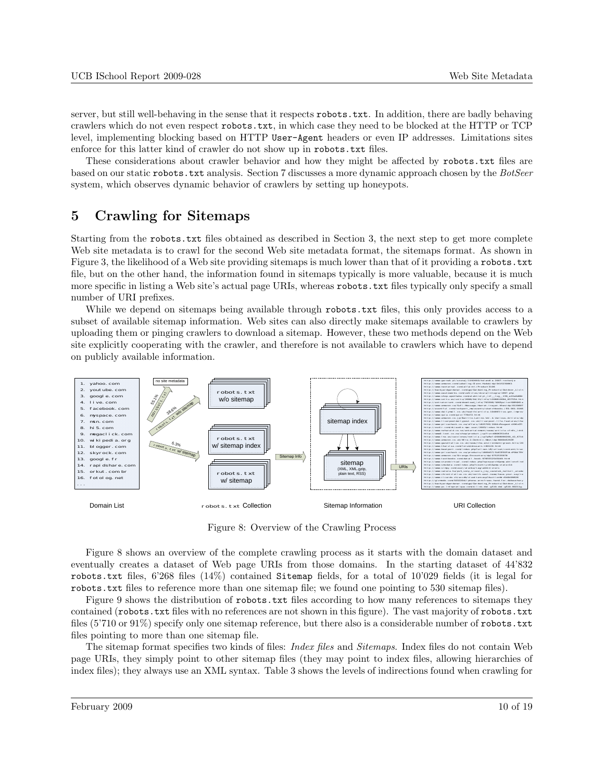<span id="page-9-0"></span>server, but still well-behaving in the sense that it respects robots.txt. In addition, there are badly behaving crawlers which do not even respect robots.txt, in which case they need to be blocked at the HTTP or TCP level, implementing blocking based on HTTP User-Agent headers or even IP addresses. Limitations sites enforce for this latter kind of crawler do not show up in robots.txt files.

These considerations about crawler behavior and how they might be affected by robots.txt files are based on our static robots.txt analysis. Section [7](#page-15-0) discusses a more dynamic approach chosen by the BotSeer system, which observes dynamic behavior of crawlers by setting up honeypots.

### 5 Crawling for Sitemaps

Starting from the robots.txt files obtained as described in Section [3,](#page-2-0) the next step to get more complete Web site metadata is to crawl for the second Web site metadata format, the sitemaps format. As shown in Figure [3,](#page-4-0) the likelihood of a Web site providing sitemaps is much lower than that of it providing a robots.txt file, but on the other hand, the information found in sitemaps typically is more valuable, because it is much more specific in listing a Web site's actual page URIs, whereas robots.txt files typically only specify a small number of URI prefixes.

While we depend on sitemaps being available through robots.txt files, this only provides access to a subset of available sitemap information. Web sites can also directly make sitemaps available to crawlers by uploading them or pinging crawlers to download a sitemap. However, these two methods depend on the Web site explicitly cooperating with the crawler, and therefore is not available to crawlers which have to depend on publicly available information.



Figure 8: Overview of the Crawling Process

Figure 8 shows an overview of the complete crawling process as it starts with the domain dataset and eventually creates a dataset of Web page URIs from those domains. In the starting dataset of 44'832 robots.txt files, 6'268 files (14%) contained Sitemap fields, for a total of 10'029 fields (it is legal for robots.txt files to reference more than one sitemap file; we found one pointing to 530 sitemap files).

Figure [9](#page-10-0) shows the distribution of robots.txt files according to how many references to sitemaps they contained (robots.txt files with no references are not shown in this figure). The vast majority of robots.txt files (5'710 or 91%) specify only one sitemap reference, but there also is a considerable number of robots.txt files pointing to more than one sitemap file.

The sitemap format specifies two kinds of files: Index files and Sitemaps. Index files do not contain Web page URIs, they simply point to other sitemap files (they may point to index files, allowing hierarchies of index files); they always use an XML syntax. Table [3](#page-10-0) shows the levels of indirections found when crawling for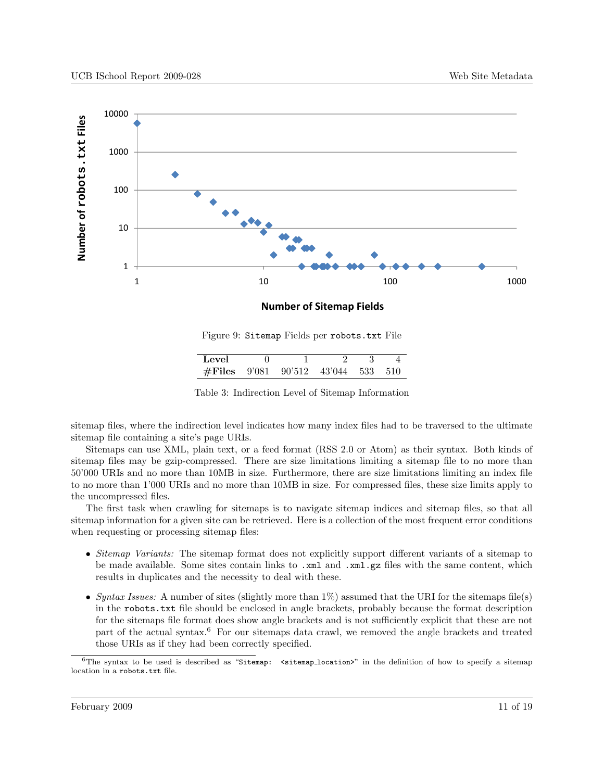<span id="page-10-0"></span>

Figure 9: Sitemap Fields per robots.txt File

| Level                                  |  |  |  |
|----------------------------------------|--|--|--|
| $\#$ Files 9'081 90'512 43'044 533 510 |  |  |  |

Table 3: Indirection Level of Sitemap Information

sitemap files, where the indirection level indicates how many index files had to be traversed to the ultimate sitemap file containing a site's page URIs.

Sitemaps can use XML, plain text, or a feed format (RSS 2.0 or Atom) as their syntax. Both kinds of sitemap files may be gzip-compressed. There are size limitations limiting a sitemap file to no more than 50'000 URIs and no more than 10MB in size. Furthermore, there are size limitations limiting an index file to no more than 1'000 URIs and no more than 10MB in size. For compressed files, these size limits apply to the uncompressed files.

The first task when crawling for sitemaps is to navigate sitemap indices and sitemap files, so that all sitemap information for a given site can be retrieved. Here is a collection of the most frequent error conditions when requesting or processing sitemap files:

- Sitemap Variants: The sitemap format does not explicitly support different variants of a sitemap to be made available. Some sites contain links to .xml and .xml.gz files with the same content, which results in duplicates and the necessity to deal with these.
- Syntax Issues: A number of sites (slightly more than  $1\%$ ) assumed that the URI for the sitemaps file(s) in the robots.txt file should be enclosed in angle brackets, probably because the format description for the sitemaps file format does show angle brackets and is not sufficiently explicit that these are not part of the actual syntax.<sup>6</sup> For our sitemaps data crawl, we removed the angle brackets and treated those URIs as if they had been correctly specified.

 $6$ The syntax to be used is described as "Sitemap: <sitemap location>" in the definition of how to specify a sitemap location in a robots.txt file.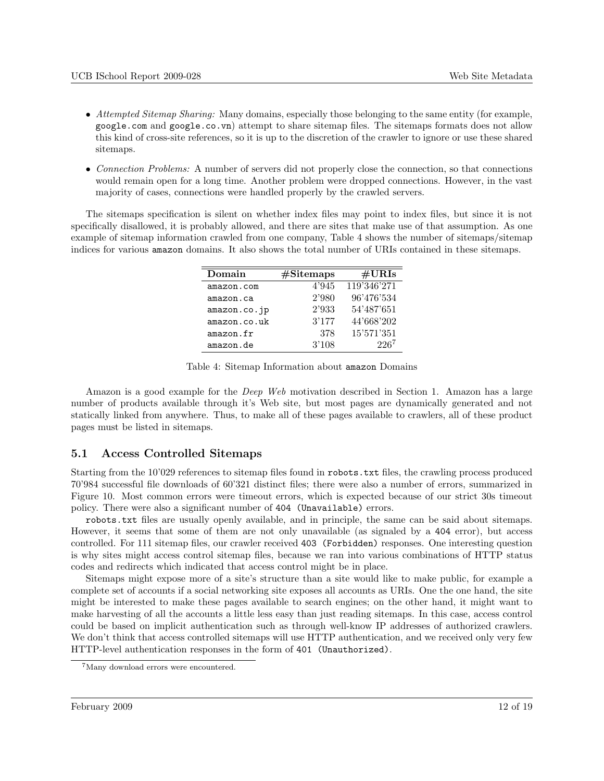- <span id="page-11-0"></span>• Attempted Sitemap Sharing: Many domains, especially those belonging to the same entity (for example, google.com and google.co.vn) attempt to share sitemap files. The sitemaps formats does not allow this kind of cross-site references, so it is up to the discretion of the crawler to ignore or use these shared sitemaps.
- Connection Problems: A number of servers did not properly close the connection, so that connections would remain open for a long time. Another problem were dropped connections. However, in the vast majority of cases, connections were handled properly by the crawled servers.

The sitemaps specification is silent on whether index files may point to index files, but since it is not specifically disallowed, it is probably allowed, and there are sites that make use of that assumption. As one example of sitemap information crawled from one company, Table 4 shows the number of sitemaps/sitemap indices for various amazon domains. It also shows the total number of URIs contained in these sitemaps.

| Domain       | $# \mathbf{S}$ itemaps | $\#\mathrm{URIs}$ |
|--------------|------------------------|-------------------|
| amazon.com   | 4'945                  | 119'346'271       |
| amazon.ca    | 2'980                  | 96'476'534        |
| amazon.co.jp | 2'933                  | 54'487'651        |
| amazon.co.uk | 3'177                  | 44'668'202        |
| amazon.fr    | 378                    | 15'571'351        |
| amazon.de    | 3'108                  | $226^{7}$         |

|  |  | Table 4: Sitemap Information about amazon Domains |  |  |  |
|--|--|---------------------------------------------------|--|--|--|
|--|--|---------------------------------------------------|--|--|--|

Amazon is a good example for the Deep Web motivation described in Section [1.](#page-1-0) Amazon has a large number of products available through it's Web site, but most pages are dynamically generated and not statically linked from anywhere. Thus, to make all of these pages available to crawlers, all of these product pages must be listed in sitemaps.

#### 5.1 Access Controlled Sitemaps

Starting from the 10'029 references to sitemap files found in robots.txt files, the crawling process produced 70'984 successful file downloads of 60'321 distinct files; there were also a number of errors, summarized in Figure [10.](#page-12-0) Most common errors were timeout errors, which is expected because of our strict 30s timeout policy. There were also a significant number of 404 (Unavailable) errors.

robots.txt files are usually openly available, and in principle, the same can be said about sitemaps. However, it seems that some of them are not only unavailable (as signaled by a 404 error), but access controlled. For 111 sitemap files, our crawler received 403 (Forbidden) responses. One interesting question is why sites might access control sitemap files, because we ran into various combinations of HTTP status codes and redirects which indicated that access control might be in place.

Sitemaps might expose more of a site's structure than a site would like to make public, for example a complete set of accounts if a social networking site exposes all accounts as URIs. One the one hand, the site might be interested to make these pages available to search engines; on the other hand, it might want to make harvesting of all the accounts a little less easy than just reading sitemaps. In this case, access control could be based on implicit authentication such as through well-know IP addresses of authorized crawlers. We don't think that access controlled sitemaps will use HTTP authentication, and we received only very few HTTP-level authentication responses in the form of 401 (Unauthorized).

<sup>7</sup>Many download errors were encountered.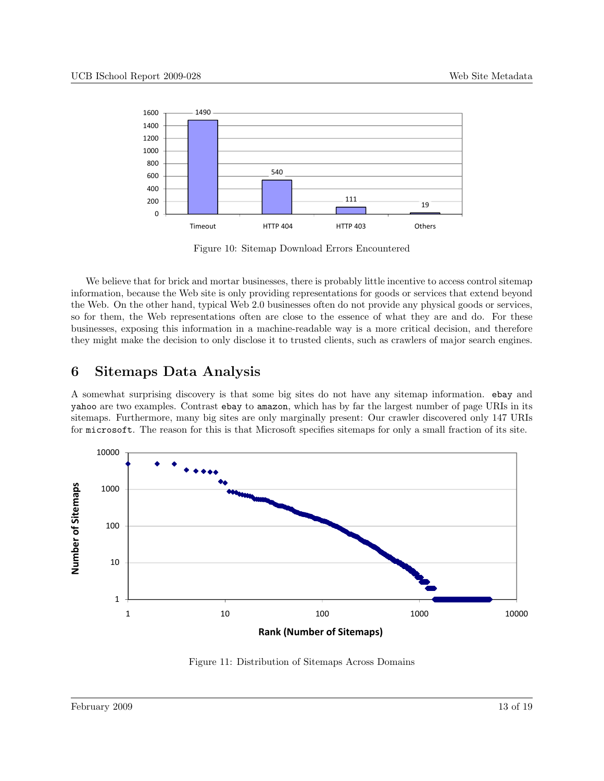<span id="page-12-0"></span>

Figure 10: Sitemap Download Errors Encountered

We believe that for brick and mortar businesses, there is probably little incentive to access control sitemap information, because the Web site is only providing representations for goods or services that extend beyond the Web. On the other hand, typical Web 2.0 businesses often do not provide any physical goods or services, so for them, the Web representations often are close to the essence of what they are and do. For these businesses, exposing this information in a machine-readable way is a more critical decision, and therefore they might make the decision to only disclose it to trusted clients, such as crawlers of major search engines.

### 6 Sitemaps Data Analysis

A somewhat surprising discovery is that some big sites do not have any sitemap information. ebay and yahoo are two examples. Contrast ebay to amazon, which has by far the largest number of page URIs in its sitemaps. Furthermore, many big sites are only marginally present: Our crawler discovered only 147 URIs for microsoft. The reason for this is that Microsoft specifies sitemaps for only a small fraction of its site.



Figure 11: Distribution of Sitemaps Across Domains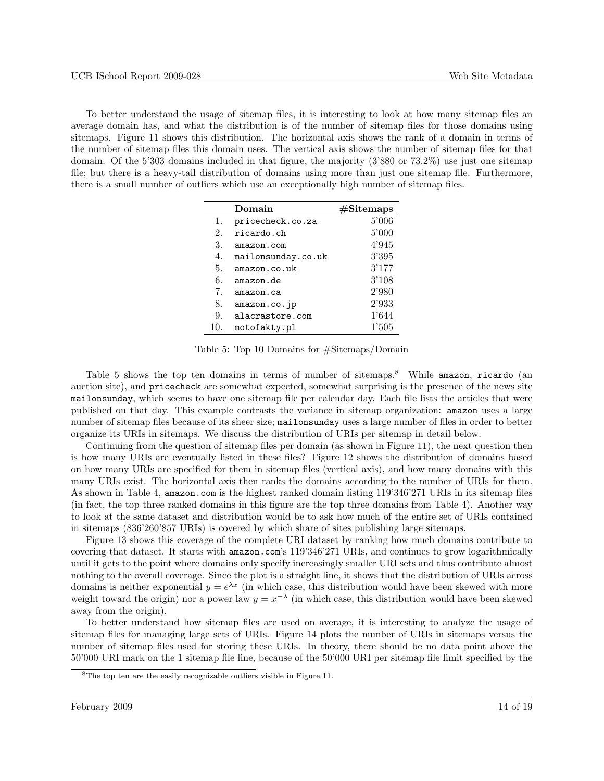To better understand the usage of sitemap files, it is interesting to look at how many sitemap files an average domain has, and what the distribution is of the number of sitemap files for those domains using sitemaps. Figure [11](#page-12-0) shows this distribution. The horizontal axis shows the rank of a domain in terms of the number of sitemap files this domain uses. The vertical axis shows the number of sitemap files for that domain. Of the 5'303 domains included in that figure, the majority (3'880 or 73.2%) use just one sitemap file; but there is a heavy-tail distribution of domains using more than just one sitemap file. Furthermore, there is a small number of outliers which use an exceptionally high number of sitemap files.

|     | Domain             | $# \text{Sitemaps}$ |
|-----|--------------------|---------------------|
| 1.  | pricecheck.co.za   | 5'006               |
| 2.  | ricardo.ch         | 5'000               |
| 3.  | amazon.com         | 4'945               |
| 4.  | mailonsunday.co.uk | 3'395               |
| 5.  | amazon.co.uk       | 3'177               |
| 6.  | amazon.de          | 3'108               |
| 7.  | amazon.ca          | 2'980               |
| 8.  | amazon.co.jp       | 2'933               |
| 9.  | alacrastore.com    | 1'644               |
| 10. | motofakty.pl       | 1'505               |

Table 5: Top 10 Domains for #Sitemaps/Domain

Table 5 shows the top ten domains in terms of number of sitemaps.<sup>8</sup> While amazon, ricardo (an auction site), and pricecheck are somewhat expected, somewhat surprising is the presence of the news site mailonsunday, which seems to have one sitemap file per calendar day. Each file lists the articles that were published on that day. This example contrasts the variance in sitemap organization: amazon uses a large number of sitemap files because of its sheer size; mailonsunday uses a large number of files in order to better organize its URIs in sitemaps. We discuss the distribution of URIs per sitemap in detail below.

Continuing from the question of sitemap files per domain (as shown in Figure [11\)](#page-12-0), the next question then is how many URIs are eventually listed in these files? Figure [12](#page-14-0) shows the distribution of domains based on how many URIs are specified for them in sitemap files (vertical axis), and how many domains with this many URIs exist. The horizontal axis then ranks the domains according to the number of URIs for them. As shown in Table [4,](#page-11-0) amazon.com is the highest ranked domain listing 119'346'271 URIs in its sitemap files (in fact, the top three ranked domains in this figure are the top three domains from Table [4\)](#page-11-0). Another way to look at the same dataset and distribution would be to ask how much of the entire set of URIs contained in sitemaps (836'260'857 URIs) is covered by which share of sites publishing large sitemaps.

Figure [13](#page-14-0) shows this coverage of the complete URI dataset by ranking how much domains contribute to covering that dataset. It starts with amazon.com's 119'346'271 URIs, and continues to grow logarithmically until it gets to the point where domains only specify increasingly smaller URI sets and thus contribute almost nothing to the overall coverage. Since the plot is a straight line, it shows that the distribution of URIs across domains is neither exponential  $y = e^{\lambda x}$  (in which case, this distribution would have been skewed with more weight toward the origin) nor a power law  $y = x^{-\lambda}$  (in which case, this distribution would have been skewed away from the origin).

To better understand how sitemap files are used on average, it is interesting to analyze the usage of sitemap files for managing large sets of URIs. Figure [14](#page-15-0) plots the number of URIs in sitemaps versus the number of sitemap files used for storing these URIs. In theory, there should be no data point above the 50'000 URI mark on the 1 sitemap file line, because of the 50'000 URI per sitemap file limit specified by the

<sup>8</sup>The top ten are the easily recognizable outliers visible in Figure [11.](#page-12-0)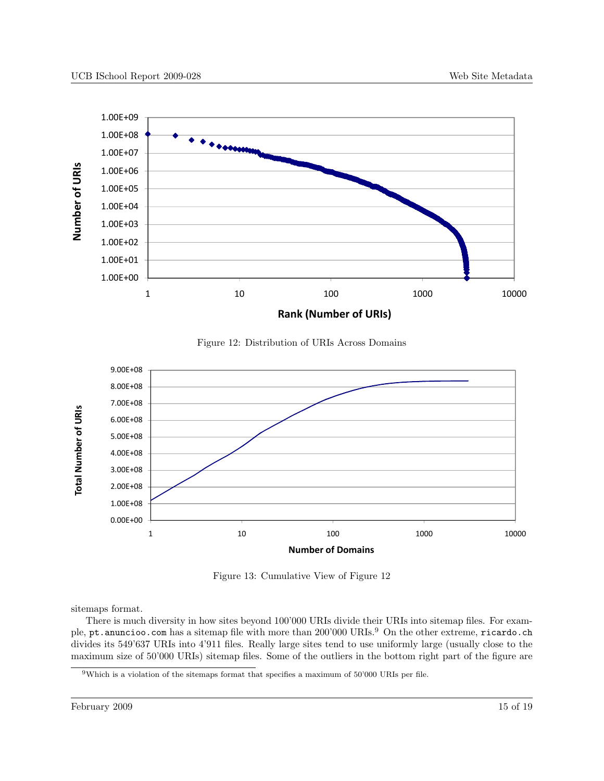<span id="page-14-0"></span>

Figure 12: Distribution of URIs Across Domains



Figure 13: Cumulative View of Figure 12

sitemaps format.

There is much diversity in how sites beyond 100'000 URIs divide their URIs into sitemap files. For example, pt.anuncioo.com has a sitemap file with more than 200'000 URIs.<sup>9</sup> On the other extreme, ricardo.ch divides its 549'637 URIs into 4'911 files. Really large sites tend to use uniformly large (usually close to the maximum size of 50'000 URIs) sitemap files. Some of the outliers in the bottom right part of the figure are

<sup>9</sup>Which is a violation of the sitemaps format that specifies a maximum of 50'000 URIs per file.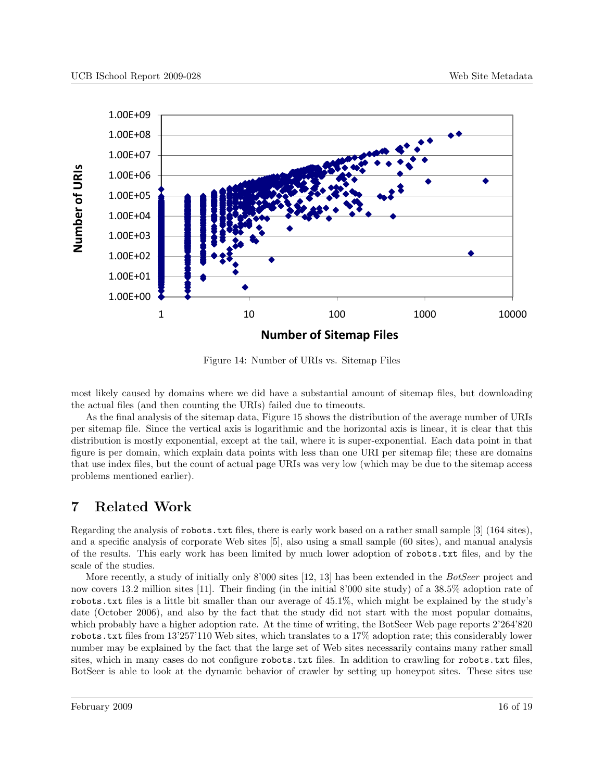<span id="page-15-0"></span>

Figure 14: Number of URIs vs. Sitemap Files

most likely caused by domains where we did have a substantial amount of sitemap files, but downloading the actual files (and then counting the URIs) failed due to timeouts.

As the final analysis of the sitemap data, Figure [15](#page-16-0) shows the distribution of the average number of URIs per sitemap file. Since the vertical axis is logarithmic and the horizontal axis is linear, it is clear that this distribution is mostly exponential, except at the tail, where it is super-exponential. Each data point in that figure is per domain, which explain data points with less than one URI per sitemap file; these are domains that use index files, but the count of actual page URIs was very low (which may be due to the sitemap access problems mentioned earlier).

# 7 Related Work

Regarding the analysis of robots.txt files, there is early work based on a rather small sample [\[3\]](#page-17-0) (164 sites), and a specific analysis of corporate Web sites [\[5\]](#page-18-0), also using a small sample (60 sites), and manual analysis of the results. This early work has been limited by much lower adoption of robots.txt files, and by the scale of the studies.

More recently, a study of initially only 8'000 sites [\[12,](#page-18-0) [13\]](#page-18-0) has been extended in the *BotSeer* project and now covers 13.2 million sites [\[11\]](#page-18-0). Their finding (in the initial 8'000 site study) of a 38.5% adoption rate of robots.txt files is a little bit smaller than our average of 45.1%, which might be explained by the study's date (October 2006), and also by the fact that the study did not start with the most popular domains, which probably have a higher adoption rate. At the time of writing, the BotSeer Web page reports 2'264'820 robots.txt files from 13'257'110 Web sites, which translates to a 17% adoption rate; this considerably lower number may be explained by the fact that the large set of Web sites necessarily contains many rather small sites, which in many cases do not configure robots.txt files. In addition to crawling for robots.txt files, BotSeer is able to look at the dynamic behavior of crawler by setting up honeypot sites. These sites use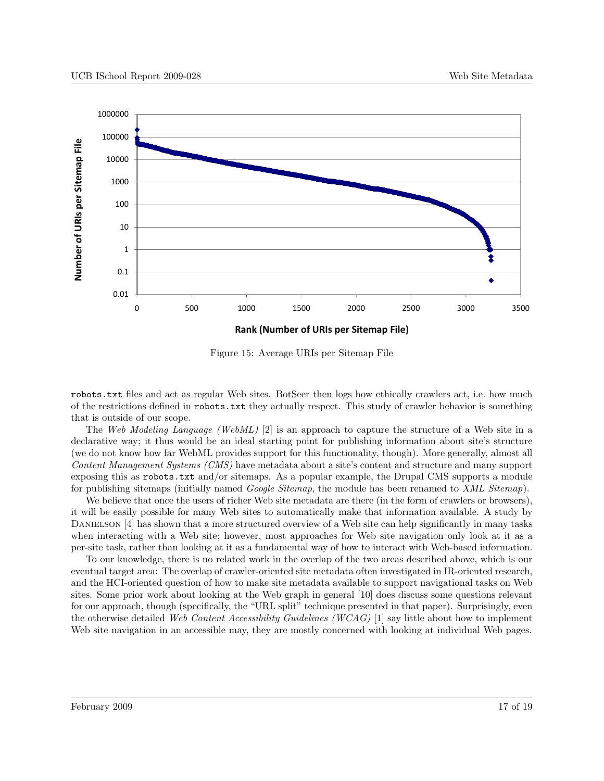<span id="page-16-0"></span>

Figure 15: Average URIs per Sitemap File

robots.txt files and act as regular Web sites. BotSeer then logs how ethically crawlers act, i.e. how much of the restrictions defined in robots.txt they actually respect. This study of crawler behavior is something that is outside of our scope.

The Web Modeling Language (WebML) [\[2\]](#page-17-0) is an approach to capture the structure of a Web site in a declarative way; it thus would be an ideal starting point for publishing information about site's structure (we do not know how far WebML provides support for this functionality, though). More generally, almost all Content Management Systems (CMS) have metadata about a site's content and structure and many support exposing this as robots.txt and/or sitemaps. As a popular example, the Drupal CMS supports a module for publishing sitemaps (initially named *Google Sitemap*, the module has been renamed to *XML Sitemap*).

We believe that once the users of richer Web site metadata are there (in the form of crawlers or browsers), it will be easily possible for many Web sites to automatically make that information available. A study by DANIELSON [\[4\]](#page-18-0) has shown that a more structured overview of a Web site can help significantly in many tasks when interacting with a Web site; however, most approaches for Web site navigation only look at it as a per-site task, rather than looking at it as a fundamental way of how to interact with Web-based information.

To our knowledge, there is no related work in the overlap of the two areas described above, which is our eventual target area: The overlap of crawler-oriented site metadata often investigated in IR-oriented research, and the HCI-oriented question of how to make site metadata available to support navigational tasks on Web sites. Some prior work about looking at the Web graph in general [\[10\]](#page-18-0) does discuss some questions relevant for our approach, though (specifically, the "URL split" technique presented in that paper). Surprisingly, even the otherwise detailed Web Content Accessibility Guidelines (WCAG) [\[1\]](#page-17-0) say little about how to implement Web site navigation in an accessible may, they are mostly concerned with looking at individual Web pages.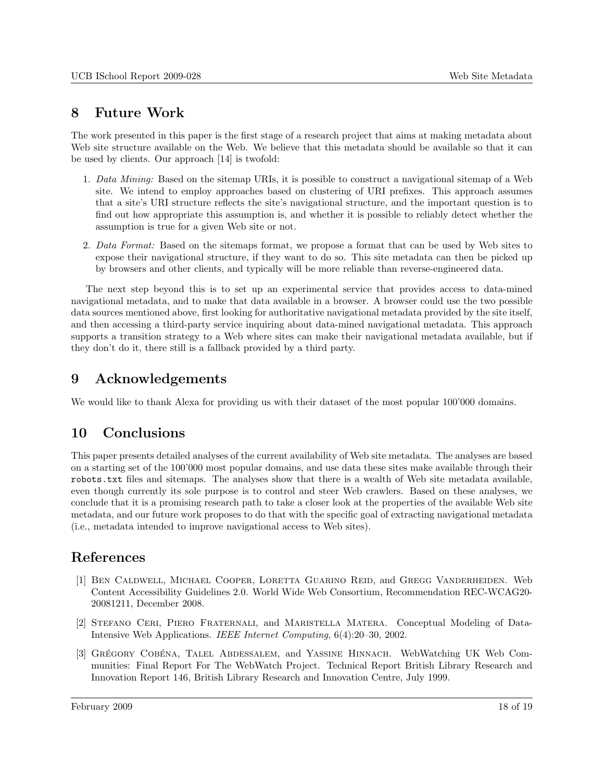### <span id="page-17-0"></span>8 Future Work

The work presented in this paper is the first stage of a research project that aims at making metadata about Web site structure available on the Web. We believe that this metadata should be available so that it can be used by clients. Our approach [\[14\]](#page-18-0) is twofold:

- 1. Data Mining: Based on the sitemap URIs, it is possible to construct a navigational sitemap of a Web site. We intend to employ approaches based on clustering of URI prefixes. This approach assumes that a site's URI structure reflects the site's navigational structure, and the important question is to find out how appropriate this assumption is, and whether it is possible to reliably detect whether the assumption is true for a given Web site or not.
- 2. Data Format: Based on the sitemaps format, we propose a format that can be used by Web sites to expose their navigational structure, if they want to do so. This site metadata can then be picked up by browsers and other clients, and typically will be more reliable than reverse-engineered data.

The next step beyond this is to set up an experimental service that provides access to data-mined navigational metadata, and to make that data available in a browser. A browser could use the two possible data sources mentioned above, first looking for authoritative navigational metadata provided by the site itself, and then accessing a third-party service inquiring about data-mined navigational metadata. This approach supports a transition strategy to a Web where sites can make their navigational metadata available, but if they don't do it, there still is a fallback provided by a third party.

# 9 Acknowledgements

We would like to thank Alexa for providing us with their dataset of the most popular  $100'000$  domains.

# 10 Conclusions

This paper presents detailed analyses of the current availability of Web site metadata. The analyses are based on a starting set of the 100'000 most popular domains, and use data these sites make available through their robots.txt files and sitemaps. The analyses show that there is a wealth of Web site metadata available, even though currently its sole purpose is to control and steer Web crawlers. Based on these analyses, we conclude that it is a promising research path to take a closer look at the properties of the available Web site metadata, and our future work proposes to do that with the specific goal of extracting navigational metadata (i.e., metadata intended to improve navigational access to Web sites).

# References

- [1] Ben Caldwell, Michael Cooper, Loretta Guarino Reid, and Gregg Vanderheiden. Web Content Accessibility Guidelines 2.0. World Wide Web Consortium, Recommendation REC-WCAG20- 20081211, December 2008.
- [2] Stefano Ceri, Piero Fraternali, and Maristella Matera. Conceptual Modeling of Data-Intensive Web Applications. IEEE Internet Computing, 6(4):20–30, 2002.
- [3] GRÉGORY COBÉNA, TALEL ABDESSALEM, and YASSINE HINNACH. WebWatching UK Web Communities: Final Report For The WebWatch Project. Technical Report British Library Research and Innovation Report 146, British Library Research and Innovation Centre, July 1999.